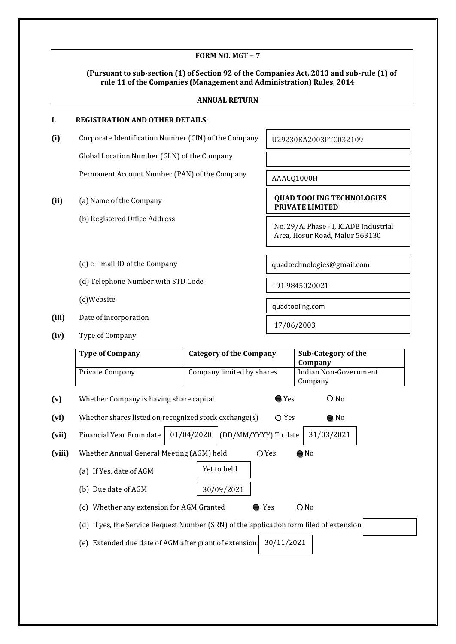|        |                                                                                         | FORM NO. MGT-7                                                       |                            |                                                                                           |
|--------|-----------------------------------------------------------------------------------------|----------------------------------------------------------------------|----------------------------|-------------------------------------------------------------------------------------------|
|        |                                                                                         | rule 11 of the Companies (Management and Administration) Rules, 2014 |                            | (Pursuant to sub-section (1) of Section 92 of the Companies Act, 2013 and sub-rule (1) of |
|        |                                                                                         | <b>ANNUAL RETURN</b>                                                 |                            |                                                                                           |
| L.     | <b>REGISTRATION AND OTHER DETAILS:</b>                                                  |                                                                      |                            |                                                                                           |
| (i)    | Corporate Identification Number (CIN) of the Company                                    |                                                                      |                            | U29230KA2003PTC032109                                                                     |
|        | Global Location Number (GLN) of the Company                                             |                                                                      |                            |                                                                                           |
|        | Permanent Account Number (PAN) of the Company                                           |                                                                      |                            | AAACQ1000H                                                                                |
| (ii)   | (a) Name of the Company                                                                 |                                                                      |                            | <b>QUAD TOOLING TECHNOLOGIES</b><br>PRIVATE LIMITED                                       |
|        | (b) Registered Office Address                                                           |                                                                      |                            | No. 29/A, Phase - I, KIADB Industrial<br>Area, Hosur Road, Malur 563130                   |
|        | (c) e - mail ID of the Company                                                          |                                                                      | quadtechnologies@gmail.com |                                                                                           |
|        |                                                                                         | (d) Telephone Number with STD Code                                   |                            |                                                                                           |
|        | (e)Website                                                                              |                                                                      | quadtooling.com            |                                                                                           |
| (iii)  | Date of incorporation                                                                   |                                                                      |                            | 17/06/2003                                                                                |
| (iv)   | Type of Company                                                                         |                                                                      |                            |                                                                                           |
|        | <b>Type of Company</b>                                                                  | <b>Category of the Company</b>                                       |                            | <b>Sub-Category of the</b><br>Company                                                     |
|        | Private Company                                                                         | Company limited by shares                                            |                            | <b>Indian Non-Government</b><br>Company                                                   |
| (v)    | Whether Company is having share capital                                                 |                                                                      | $\bullet$ Yes              | $\bigcirc$ No                                                                             |
| (vi)   | Whether shares listed on recognized stock exchange(s)                                   |                                                                      | $\bigcirc$ Yes             | $\bullet$ No                                                                              |
| (vii)  | Financial Year From date                                                                | 01/04/2020<br>(DD/MM/YYYY) To date                                   |                            | 31/03/2021                                                                                |
| (viii) | Whether Annual General Meeting (AGM) held                                               |                                                                      | $O$ Yes                    | $\bigcirc$ No                                                                             |
|        | (a) If Yes, date of AGM                                                                 | Yet to held                                                          |                            |                                                                                           |
|        | (b) Due date of AGM                                                                     | 30/09/2021                                                           |                            |                                                                                           |
|        | (c) Whether any extension for AGM Granted                                               |                                                                      | Yes                        | $O$ No                                                                                    |
|        | (d) If yes, the Service Request Number (SRN) of the application form filed of extension |                                                                      |                            |                                                                                           |
|        | (e) Extended due date of AGM after grant of extension                                   |                                                                      | 30/11/2021                 |                                                                                           |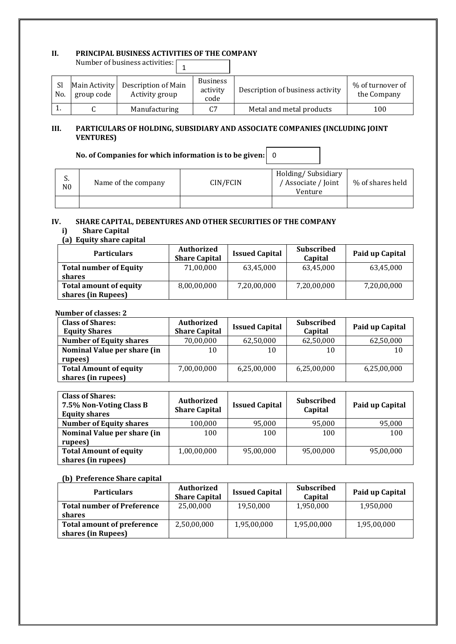#### **II. PRINCIPAL BUSINESS ACTIVITIES OF THE COMPANY**

| Number of business activities: [ |                             |                                       |                                     |                                  |                                 |
|----------------------------------|-----------------------------|---------------------------------------|-------------------------------------|----------------------------------|---------------------------------|
| <sub>Sl</sub><br>No.             | Main Activity<br>group code | Description of Main<br>Activity group | <b>Business</b><br>activity<br>code | Description of business activity | % of turnover of<br>the Company |
| . .                              |                             | Manufacturing                         | C <sub>7</sub>                      | Metal and metal products         | 100                             |

#### **III. PARTICULARS OF HOLDING, SUBSIDIARY AND ASSOCIATE COMPANIES (INCLUDING JOINT VENTURES)**

#### **No. of Companies for which information is to be given:**  0

| ა.<br>N <sub>0</sub> | Name of the company | CIN/FCIN | Holding/Subsidiary<br>/ Associate / Joint<br>Venture | % of shares held |
|----------------------|---------------------|----------|------------------------------------------------------|------------------|
|                      |                     |          |                                                      |                  |

# **IV. SHARE CAPITAL, DEBENTURES AND OTHER SECURITIES OF THE COMPANY**

# **i) Share Capital**

# **(a) Equity share capital**

| <b>Particulars</b>            | <b>Authorized</b><br><b>Share Capital</b> | <b>Issued Capital</b> | Subscribed<br>Capital | Paid up Capital |
|-------------------------------|-------------------------------------------|-----------------------|-----------------------|-----------------|
| <b>Total number of Equity</b> | 71,00,000                                 | 63,45,000             | 63,45,000             | 63,45,000       |
| shares                        |                                           |                       |                       |                 |
| <b>Total amount of equity</b> | 8,00,00,000                               | 7,20,00,000           | 7,20,00,000           | 7,20,00,000     |
| shares (in Rupees)            |                                           |                       |                       |                 |

#### **Number of classes: 2**

| <b>Class of Shares:</b><br><b>Equity Shares</b> | <b>Authorized</b><br><b>Share Capital</b> | <b>Issued Capital</b> | <b>Subscribed</b><br>Capital | Paid up Capital |
|-------------------------------------------------|-------------------------------------------|-----------------------|------------------------------|-----------------|
| <b>Number of Equity shares</b>                  | 70,00,000                                 | 62,50,000             | 62,50,000                    | 62,50,000       |
| Nominal Value per share (in                     | 10                                        | 10                    | 10                           | 10              |
| rupees)                                         |                                           |                       |                              |                 |
| <b>Total Amount of equity</b>                   | 7,00,00,000                               | 6,25,00,000           | 6,25,00,000                  | 6,25,00,000     |
| shares (in rupees)                              |                                           |                       |                              |                 |

| <b>Class of Shares:</b><br>7.5% Non-Voting Class B<br><b>Equity shares</b> | <b>Authorized</b><br><b>Share Capital</b> | <b>Issued Capital</b> | <b>Subscribed</b><br>Capital | Paid up Capital |
|----------------------------------------------------------------------------|-------------------------------------------|-----------------------|------------------------------|-----------------|
| <b>Number of Equity shares</b>                                             | 100,000                                   | 95,000                | 95,000                       | 95,000          |
| Nominal Value per share (in                                                | 100                                       | 100                   | 100                          | 100             |
| rupees)                                                                    |                                           |                       |                              |                 |
| <b>Total Amount of equity</b>                                              | 1,00,00,000                               | 95,00,000             | 95,00,000                    | 95,00,000       |
| shares (in rupees)                                                         |                                           |                       |                              |                 |

#### **(b) Preference Share capital**

| <b>Particulars</b>                | <b>Authorized</b><br><b>Share Capital</b> | <b>Issued Capital</b> | Subscribed<br>Capital | Paid up Capital |
|-----------------------------------|-------------------------------------------|-----------------------|-----------------------|-----------------|
| <b>Total number of Preference</b> | 25,00,000                                 | 19,50,000             | 1,950,000             | 1,950,000       |
| shares                            |                                           |                       |                       |                 |
| Total amount of preference        | 2,50,00,000                               | 1,95,00,000           | 1,95,00,000           | 1,95,00,000     |
| shares (in Rupees)                |                                           |                       |                       |                 |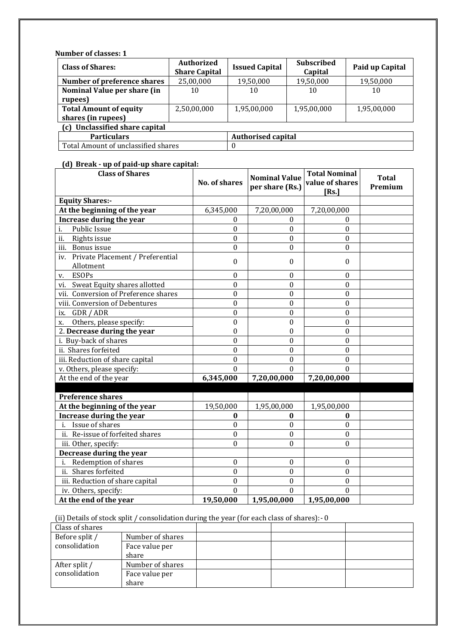**Number of classes: 1**

| <b>Class of Shares:</b>             | <b>Authorized</b><br><b>Share Capital</b> | <b>Issued Capital</b> | <b>Subscribed</b><br>Capital | Paid up Capital |  |  |  |
|-------------------------------------|-------------------------------------------|-----------------------|------------------------------|-----------------|--|--|--|
| Number of preference shares         | 25,00,000                                 | 19,50,000             | 19,50,000                    | 19,50,000       |  |  |  |
| Nominal Value per share (in         | 10                                        | 10                    | 10                           | 10              |  |  |  |
| rupees)                             |                                           |                       |                              |                 |  |  |  |
| <b>Total Amount of equity</b>       | 2,50,00,000                               | 1,95,00,000           | 1,95,00,000                  | 1,95,00,000     |  |  |  |
| shares (in rupees)                  |                                           |                       |                              |                 |  |  |  |
| (c) Unclassified share capital      |                                           |                       |                              |                 |  |  |  |
| <b>Particulars</b>                  | <b>Authorised capital</b>                 |                       |                              |                 |  |  |  |
| Total Amount of unclassified shares |                                           |                       |                              |                 |  |  |  |

#### **(d) Break - up of paid-up share capital:**

| <b>Class of Shares</b>                            | <b>No. of shares</b> | <b>Nominal Value</b><br>per share (Rs.) | <b>Total Nominal</b><br>value of shares | <b>Total</b><br>Premium |
|---------------------------------------------------|----------------------|-----------------------------------------|-----------------------------------------|-------------------------|
|                                                   |                      |                                         | [Rs.]                                   |                         |
| <b>Equity Shares:-</b>                            |                      |                                         |                                         |                         |
| At the beginning of the year                      | 6,345,000            | 7,20,00,000                             | 7,20,00,000                             |                         |
| Increase during the year                          | $\Omega$             | $\Omega$                                | $\Omega$                                |                         |
| Public Issue<br>i.                                | $\theta$             | $\mathbf{0}$                            | $\boldsymbol{0}$                        |                         |
| ii.<br>Rights issue                               | $\theta$             | $\theta$                                | $\theta$                                |                         |
| iii. Bonus issue                                  | $\boldsymbol{0}$     | $\theta$                                | $\Omega$                                |                         |
| iv. Private Placement / Preferential<br>Allotment | $\boldsymbol{0}$     | $\boldsymbol{0}$                        | $\mathbf{0}$                            |                         |
| <b>ESOPs</b><br>v.                                | $\theta$             | $\theta$                                | $\theta$                                |                         |
| Sweat Equity shares allotted<br>vi.               | $\boldsymbol{0}$     | $\boldsymbol{0}$                        | $\boldsymbol{0}$                        |                         |
| vii. Conversion of Preference shares              | $\boldsymbol{0}$     | $\boldsymbol{0}$                        | $\boldsymbol{0}$                        |                         |
| viii. Conversion of Debentures                    | 0                    | $\theta$                                | $\theta$                                |                         |
| ix. GDR / ADR                                     | $\boldsymbol{0}$     | $\theta$                                | $\boldsymbol{0}$                        |                         |
| Others, please specify:<br>X.                     | $\boldsymbol{0}$     | $\boldsymbol{0}$                        | $\boldsymbol{0}$                        |                         |
| 2. Decrease during the year                       | 0                    | $\boldsymbol{0}$                        | $\boldsymbol{0}$                        |                         |
| i. Buy-back of shares                             | $\boldsymbol{0}$     | $\boldsymbol{0}$                        | $\boldsymbol{0}$                        |                         |
| ii. Shares forfeited                              | 0                    | $\boldsymbol{0}$                        | $\boldsymbol{0}$                        |                         |
| iii. Reduction of share capital                   | $\theta$             | $\theta$                                | $\theta$                                |                         |
| v. Others, please specify:                        | $\mathbf{0}$         | $\mathbf{0}$                            | $\boldsymbol{0}$                        |                         |
| At the end of the year                            | 6,345,000            | 7,20,00,000                             | 7,20,00,000                             |                         |
|                                                   |                      |                                         |                                         |                         |
| <b>Preference shares</b>                          |                      |                                         |                                         |                         |
| At the beginning of the year                      | 19,50,000            | 1,95,00,000                             | 1,95,00,000                             |                         |
| Increase during the year                          | $\bf{0}$             | $\bf{0}$                                | $\bf{0}$                                |                         |
| i. Issue of shares                                | $\boldsymbol{0}$     | $\boldsymbol{0}$                        | $\boldsymbol{0}$                        |                         |
| ii. Re-issue of forfeited shares                  | $\theta$             | $\theta$                                | $\theta$                                |                         |
| iii. Other, specify:                              | $\Omega$             | $\Omega$                                | 0                                       |                         |
| Decrease during the year                          |                      |                                         |                                         |                         |
| Redemption of shares<br>i.                        | $\boldsymbol{0}$     | $\boldsymbol{0}$                        | $\boldsymbol{0}$                        |                         |
| ii. Shares forfeited                              | $\boldsymbol{0}$     | $\theta$                                | $\Omega$                                |                         |
| iii. Reduction of share capital                   | $\theta$             | $\theta$                                | $\theta$                                |                         |
| iv. Others, specify:                              | $\mathbf{0}$         | $\theta$                                | $\theta$                                |                         |
| At the end of the year                            | 19,50,000            | 1,95,00,000                             | 1,95,00,000                             |                         |

(ii) Details of stock split / consolidation during the year (for each class of shares):- 0

| Class of shares |                  |  |  |
|-----------------|------------------|--|--|
| Before split /  | Number of shares |  |  |
| consolidation   | Face value per   |  |  |
|                 | share            |  |  |
| After split /   | Number of shares |  |  |
| consolidation   | Face value per   |  |  |
|                 | share            |  |  |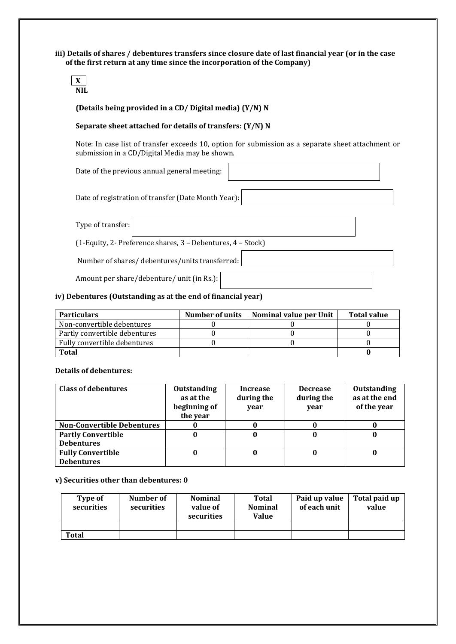**iii) Details of shares / debentures transfers since closure date of last financial year (or in the case of the first return at any time since the incorporation of the Company)**



#### **(Details being provided in a CD/ Digital media) (Y/N) N**

#### **Separate sheet attached for details of transfers: (Y/N) N**

Note: In case list of transfer exceeds 10, option for submission as a separate sheet attachment or submission in a CD/Digital Media may be shown.

Date of the previous annual general meeting:

Date of registration of transfer (Date Month Year):

Type of transfer:

(1-Equity, 2- Preference shares, 3 – Debentures, 4 – Stock)

Number of shares/ debentures/units transferred:

Amount per share/debenture/ unit (in Rs.):

#### **iv) Debentures (Outstanding as at the end of financial year)**

| <b>Particulars</b>            | Number of units | Nominal value per Unit | Total value |
|-------------------------------|-----------------|------------------------|-------------|
| Non-convertible debentures    |                 |                        |             |
| Partly convertible debentures |                 |                        |             |
| Fully convertible debentures  |                 |                        |             |
| <b>Total</b>                  |                 |                        |             |

#### **Details of debentures:**

| <b>Class of debentures</b>        | <b>Outstanding</b><br>as at the<br>beginning of | <b>Increase</b><br>during the<br>year | <b>Decrease</b><br>during the<br>year | <b>Outstanding</b><br>as at the end<br>of the year |
|-----------------------------------|-------------------------------------------------|---------------------------------------|---------------------------------------|----------------------------------------------------|
|                                   | the year                                        |                                       |                                       |                                                    |
| <b>Non-Convertible Debentures</b> |                                                 |                                       |                                       |                                                    |
| <b>Partly Convertible</b>         |                                                 |                                       |                                       |                                                    |
| <b>Debentures</b>                 |                                                 |                                       |                                       |                                                    |
| <b>Fully Convertible</b>          |                                                 |                                       |                                       | U                                                  |
| <b>Debentures</b>                 |                                                 |                                       |                                       |                                                    |

#### **v) Securities other than debentures: 0**

| Type of<br>securities | Number of<br>securities | <b>Nominal</b><br>value of<br>securities | Total<br><b>Nominal</b><br><b>Value</b> | Paid up value<br>of each unit | Total paid up<br>value |
|-----------------------|-------------------------|------------------------------------------|-----------------------------------------|-------------------------------|------------------------|
|                       |                         |                                          |                                         |                               |                        |
| Total                 |                         |                                          |                                         |                               |                        |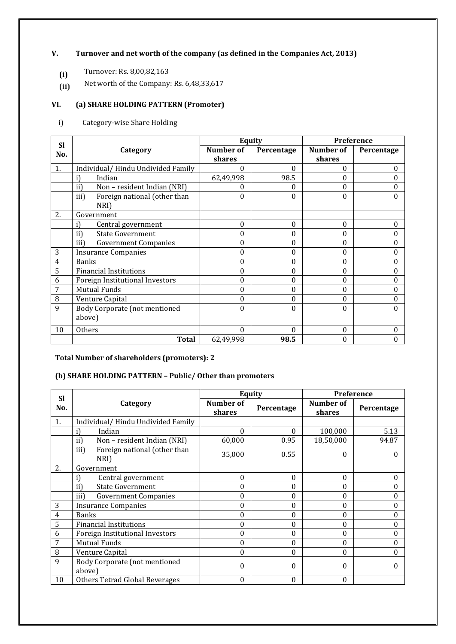#### **V. Turnover and net worth of the company (as defined in the Companies Act, 2013)**

- **(i)** Turnover: Rs. 8,00,82,163
- **(ii)** Net worth of the Company: Rs. 6,48,33,617

# **VI. (a) SHARE HOLDING PATTERN (Promoter)**

i) Category-wise Share Holding

| <b>SI</b>      |                                      |                  | Equity     | <b>Preference</b> |            |  |
|----------------|--------------------------------------|------------------|------------|-------------------|------------|--|
| No.            | Category                             | <b>Number of</b> | Percentage | Number of         | Percentage |  |
|                |                                      | shares           |            | shares            |            |  |
| 1.             | Individual/Hindu Undivided Family    | 0                | 0          | 0                 | 0          |  |
|                | Indian                               | 62,49,998        | 98.5       | 0                 |            |  |
|                | Non - resident Indian (NRI)<br>ii)   | 0                | 0          | 0                 |            |  |
|                | Foreign national (other than<br>iii) | 0                | 0          | 0                 |            |  |
|                | NRI)                                 |                  |            |                   |            |  |
| 2.             | Government                           |                  |            |                   |            |  |
|                | Central government                   | $\bf{0}$         | 0          | 0                 | 0          |  |
|                | <b>State Government</b><br>ii)       | $\theta$         | 0          | 0                 | 0          |  |
|                | iii)<br><b>Government Companies</b>  | $\theta$         | $\Omega$   | 0                 |            |  |
| 3              | <b>Insurance Companies</b>           | $\theta$         | 0          | 0                 | 0          |  |
| $\overline{4}$ | <b>Banks</b>                         | $\theta$         | 0          | 0                 | 0          |  |
| 5              | <b>Financial Institutions</b>        | $\theta$         | 0          | 0                 | 0          |  |
| 6              | Foreign Institutional Investors      | $\theta$         | 0          | 0                 | 0          |  |
| 7              | <b>Mutual Funds</b>                  | $\theta$         | 0          | 0                 | 0          |  |
| 8              | Venture Capital                      | $\theta$         | 0          | 0                 |            |  |
| 9              | Body Corporate (not mentioned        | $\Omega$         | 0          | $\theta$          | 0          |  |
|                | above)                               |                  |            |                   |            |  |
| 10             | Others                               | $\theta$         | 0          | 0                 | $\Omega$   |  |
|                | <b>Total</b>                         | 62,49,998        | 98.5       | 0                 |            |  |

# **Total Number of shareholders (promoters): 2**

# **(b) SHARE HOLDING PATTERN – Public/ Other than promoters**

| <b>Sl</b> |                                              |                     | Equity     | Preference          |            |  |
|-----------|----------------------------------------------|---------------------|------------|---------------------|------------|--|
| No.       | Category                                     | Number of<br>shares | Percentage | Number of<br>shares | Percentage |  |
| 1.        | Individual/Hindu Undivided Family            |                     |            |                     |            |  |
|           | Indian                                       | $\theta$            | $\theta$   | 100,000             | 5.13       |  |
|           | Non - resident Indian (NRI)<br>ii)           | 60,000              | 0.95       | 18,50,000           | 94.87      |  |
|           | iii)<br>Foreign national (other than<br>NRI) | 35,000              | 0.55       | 0                   |            |  |
| 2.        | Government                                   |                     |            |                     |            |  |
|           | Central government                           | $\Omega$            | 0          | $\theta$            | $\Omega$   |  |
|           | ii)<br><b>State Government</b>               | $\theta$            | 0          | 0                   | 0          |  |
|           | iii)<br><b>Government Companies</b>          | $\theta$            | 0          | 0                   | $\Omega$   |  |
| 3         | <b>Insurance Companies</b>                   | $\theta$            | $\theta$   | 0                   | $\Omega$   |  |
| 4         | <b>Banks</b>                                 | $\theta$            | $\theta$   | $\theta$            | $\theta$   |  |
| 5         | <b>Financial Institutions</b>                | $\boldsymbol{0}$    | 0          | 0                   | $\Omega$   |  |
| 6         | Foreign Institutional Investors              | $\theta$            | 0          | $\mathbf{0}$        | $\Omega$   |  |
|           | <b>Mutual Funds</b>                          | $\theta$            | $\theta$   | 0                   | 0          |  |
| 8         | Venture Capital                              | $\theta$            | 0          | $\theta$            | $\Omega$   |  |
| 9         | Body Corporate (not mentioned<br>above)      | $\boldsymbol{0}$    | 0          | 0                   |            |  |
| 10        | Others Tetrad Global Beverages               | $\theta$            | 0          | 0                   |            |  |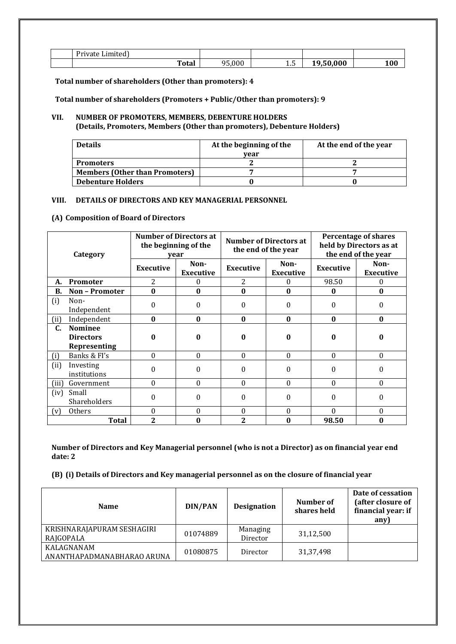| $D_{\rm ini}$<br>`വി<br>.<br>TV d |       |                       |            |           |     |
|-----------------------------------|-------|-----------------------|------------|-----------|-----|
|                                   | Total | 0.00<br>$\sim$ $\sim$ | --<br>ل ال | 0.00<br>- | 100 |

**Total number of shareholders (Other than promoters): 4**

**Total number of shareholders (Promoters + Public/Other than promoters): 9**

#### **VII. NUMBER OF PROMOTERS, MEMBERS, DEBENTURE HOLDERS (Details, Promoters, Members (Other than promoters), Debenture Holders)**

| <b>Details</b>                        | At the beginning of the | At the end of the year |
|---------------------------------------|-------------------------|------------------------|
|                                       | vear                    |                        |
| <b>Promoters</b>                      |                         |                        |
| <b>Members (Other than Promoters)</b> |                         |                        |
| <b>Debenture Holders</b>              |                         |                        |

#### **VIII. DETAILS OF DIRECTORS AND KEY MANAGERIAL PERSONNEL**

#### **(A) Composition of Board of Directors**

| Category |                                                           | <b>Number of Directors at</b><br>the beginning of the<br>year |                          |                  | <b>Number of Directors at</b><br>the end of the year | <b>Percentage of shares</b><br>held by Directors as at<br>the end of the year |                          |
|----------|-----------------------------------------------------------|---------------------------------------------------------------|--------------------------|------------------|------------------------------------------------------|-------------------------------------------------------------------------------|--------------------------|
|          |                                                           | <b>Executive</b>                                              | Non-<br><b>Executive</b> | <b>Executive</b> | Non-<br><b>Executive</b>                             | <b>Executive</b>                                                              | Non-<br><b>Executive</b> |
| А.       | Promoter                                                  | 2                                                             | 0                        | 2                | 0                                                    | 98.50                                                                         | $\bf{0}$                 |
| В.       | <b>Non-Promoter</b>                                       | $\bf{0}$                                                      | $\bf{0}$                 | $\mathbf{0}$     | $\bf{0}$                                             | $\bf{0}$                                                                      | $\bf{0}$                 |
| (i)      | Non-<br>Independent                                       | 0                                                             | 0                        | $\Omega$         | $\boldsymbol{0}$                                     | 0                                                                             | 0                        |
| (ii)     | Independent                                               | $\bf{0}$                                                      | $\bf{0}$                 | $\bf{0}$         | $\bf{0}$                                             | $\bf{0}$                                                                      | $\bf{0}$                 |
| C.       | <b>Nominee</b><br><b>Directors</b><br><b>Representing</b> | 0                                                             | 0                        | 0                | 0                                                    | 0                                                                             | 0                        |
| (i)      | Banks & FI's                                              | $\theta$                                                      | $\theta$                 | $\theta$         | $\theta$                                             | 0                                                                             | $\Omega$                 |
| (ii)     | Investing<br>institutions                                 | 0                                                             | $\Omega$                 | $\Omega$         | $\theta$                                             | 0                                                                             | 0                        |
| (iii)    | Government                                                | $\Omega$                                                      | $\Omega$                 | $\Omega$         | $\Omega$                                             | $\Omega$                                                                      | $\theta$                 |
| (iv)     | Small<br>Shareholders                                     | 0                                                             | 0                        | $\Omega$         | $\theta$                                             | 0                                                                             | $\Omega$                 |
| (v)      | Others                                                    | $\Omega$                                                      | 0                        | $\Omega$         | $\theta$                                             | $\Omega$                                                                      | $\Omega$                 |
|          | <b>Total</b>                                              | $\overline{2}$                                                |                          | 2                | $\bf{0}$                                             | 98.50                                                                         | $\bf{0}$                 |

**Number of Directors and Key Managerial personnel (who is not a Director) as on financial year end date: 2**

**(B) (i) Details of Directors and Key managerial personnel as on the closure of financial year**

| <b>Name</b>                              | DIN/PAN  | <b>Designation</b>   | Number of<br>shares held | Date of cessation<br>(after closure of<br>financial year: if<br>any) |
|------------------------------------------|----------|----------------------|--------------------------|----------------------------------------------------------------------|
| KRISHNARAJAPURAM SESHAGIRI<br>RAJGOPALA  | 01074889 | Managing<br>Director | 31,12,500                |                                                                      |
| KALAGNANAM<br>ANANTHAPADMANABHARAO ARUNA | 01080875 | Director             | 31,37,498                |                                                                      |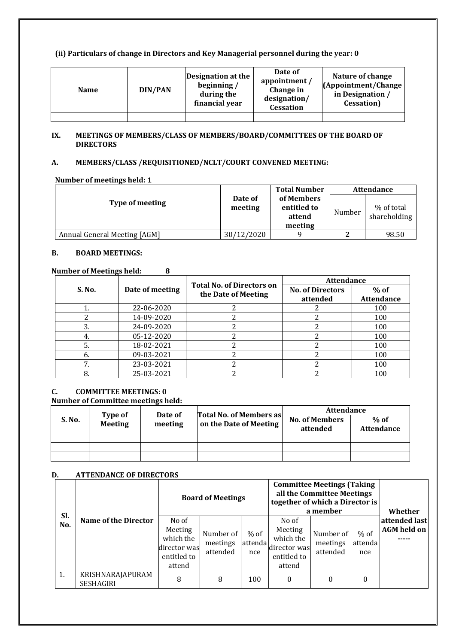#### **(ii) Particulars of change in Directors and Key Managerial personnel during the year: 0**

| <b>Name</b> | DIN/PAN | Designation at the<br>beginning /<br>during the<br>financial year | Date of<br>appointment /<br>Change in<br>designation/<br><b>Cessation</b> | Nature of change<br>(Appointment/Change)<br>in Designation<br><b>Cessation</b> ) |
|-------------|---------|-------------------------------------------------------------------|---------------------------------------------------------------------------|----------------------------------------------------------------------------------|
|             |         |                                                                   |                                                                           |                                                                                  |

#### **IX. MEETINGS OF MEMBERS/CLASS OF MEMBERS/BOARD/COMMITTEES OF THE BOARD OF DIRECTORS**

# **A. MEMBERS/CLASS /REQUISITIONED/NCLT/COURT CONVENED MEETING:**

#### **Number of meetings held: 1**

|                              |                    | <b>Total Number</b>                            |        | <b>Attendance</b>          |
|------------------------------|--------------------|------------------------------------------------|--------|----------------------------|
| <b>Type of meeting</b>       | Date of<br>meeting | of Members<br>entitled to<br>attend<br>meeting | Number | % of total<br>shareholding |
| Annual General Meeting [AGM] | 30/12/2020         |                                                |        | 98.50                      |

#### **B. BOARD MEETINGS:**

#### **Number of Meetings held: 8**

|        |                 | <b>Total No. of Directors on</b> | <b>Attendance</b>       |                   |  |
|--------|-----------------|----------------------------------|-------------------------|-------------------|--|
| S. No. | Date of meeting | the Date of Meeting              | <b>No. of Directors</b> | $%$ of            |  |
|        |                 |                                  | attended                | <b>Attendance</b> |  |
|        | 22-06-2020      |                                  |                         | 100               |  |
|        | 14-09-2020      |                                  |                         | 100               |  |
| 3.     | 24-09-2020      |                                  |                         | 100               |  |
| 4.     | 05-12-2020      |                                  |                         | 100               |  |
| 5.     | 18-02-2021      |                                  |                         | 100               |  |
| b.     | 09-03-2021      |                                  |                         | 100               |  |
|        | 23-03-2021      |                                  |                         | 100               |  |
|        | 25-03-2021      |                                  |                         | 100               |  |

# **C. COMMITTEE MEETINGS: 0**

#### **Number of Committee meetings held:**

|        | <b>Type of</b><br>Meeting | Date of<br>meeting |                                                          | <b>Attendance</b>     |                   |  |
|--------|---------------------------|--------------------|----------------------------------------------------------|-----------------------|-------------------|--|
| S. No. |                           |                    | <b>Total No. of Members as</b><br>on the Date of Meeting | <b>No. of Members</b> | $%$ of            |  |
|        |                           |                    |                                                          | attended              | <b>Attendance</b> |  |
|        |                           |                    |                                                          |                       |                   |  |
|        |                           |                    |                                                          |                       |                   |  |
|        |                           |                    |                                                          |                       |                   |  |

### **D. ATTENDANCE OF DIRECTORS**

| Sl.<br>No. |                               |                                                                        | <b>Committee Meetings (Taking</b><br>all the Committee Meetings<br><b>Board of Meetings</b><br>together of which a Director is<br>a member |                           |                                                                        |                                   | Whether                  |                                     |
|------------|-------------------------------|------------------------------------------------------------------------|--------------------------------------------------------------------------------------------------------------------------------------------|---------------------------|------------------------------------------------------------------------|-----------------------------------|--------------------------|-------------------------------------|
|            | Name of the Director          | No of<br>Meeting<br>which the<br>director was<br>entitled to<br>attend | Number of<br>meetings<br>attended                                                                                                          | $%$ of<br>attendal<br>nce | No of<br>Meeting<br>which the<br>director was<br>entitled to<br>attend | Number of<br>meetings<br>attended | $%$ of<br>attenda<br>nce | attended last<br><b>AGM</b> held on |
| 1.         | KRISHNARAJAPURAM<br>SESHAGIRI | 8                                                                      | 8                                                                                                                                          | 100                       | $\theta$                                                               | 0                                 | $\theta$                 |                                     |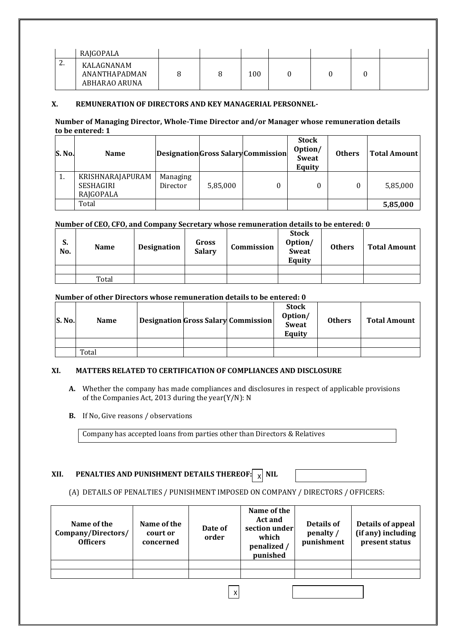|                | RAJGOPALA                                    |  |     |  |  |
|----------------|----------------------------------------------|--|-----|--|--|
| ົ<br><u>L.</u> | KALAGNANAM<br>ANANTHAPADMAN<br>ABHARAO ARUNA |  | 100 |  |  |

#### **X. REMUNERATION OF DIRECTORS AND KEY MANAGERIAL PERSONNEL-**

#### **Number of Managing Director, Whole-Time Director and/or Manager whose remuneration details to be entered: 1**

| S. No. | <b>Name</b>      |          |          | Designation Gross Salary Commission | <b>Stock</b><br>Option/<br>Sweat<br>Equity | <b>Others</b> | <b>Total Amount</b> |
|--------|------------------|----------|----------|-------------------------------------|--------------------------------------------|---------------|---------------------|
| π.     | KRISHNARAJAPURAM | Managing |          |                                     |                                            |               |                     |
|        | SESHAGIRI        | Director | 5,85,000 |                                     | 0                                          | 0             | 5,85,000            |
|        | RAJGOPALA        |          |          |                                     |                                            |               |                     |
|        | Total            |          |          |                                     |                                            |               | 5,85,000            |

#### **Number of CEO, CFO, and Company Secretary whose remuneration details to be entered: 0**

| C.<br>J.<br>No. | <b>Name</b> | Designation | Gross<br><b>Salary</b> | Commission | <b>Stock</b><br>Option/<br>Sweat<br>Equity | <b>Others</b> | <b>Total Amount</b> |
|-----------------|-------------|-------------|------------------------|------------|--------------------------------------------|---------------|---------------------|
|                 |             |             |                        |            |                                            |               |                     |
|                 | Total       |             |                        |            |                                            |               |                     |

#### **Number of other Directors whose remuneration details to be entered: 0**

| <b>S. No.</b> | <b>Name</b> |  | <b>Designation Gross Salary Commission</b> | <b>Stock</b><br>Option/<br><b>Sweat</b><br>Equity | <b>Others</b> | <b>Total Amount</b> |
|---------------|-------------|--|--------------------------------------------|---------------------------------------------------|---------------|---------------------|
|               |             |  |                                            |                                                   |               |                     |
|               | Total       |  |                                            |                                                   |               |                     |

#### **XI. MATTERS RELATED TO CERTIFICATION OF COMPLIANCES AND DISCLOSURE**

- **A.** Whether the company has made compliances and disclosures in respect of applicable provisions of the Companies Act, 2013 during the year(Y/N): N
- **B.** If No, Give reasons / observations

Company has accepted loans from parties other than Directors & Relatives

# **XII. PENALTIES AND PUNISHMENT DETAILS THEREOF:**  $\begin{bmatrix} \phantom{\textbf{X}}\end{bmatrix}$  **NIL**

#### (A) DETAILS OF PENALTIES / PUNISHMENT IMPOSED ON COMPANY / DIRECTORS / OFFICERS:

| Name of the<br>Company/Directors/<br><b>Officers</b> | Name of the<br>court or<br>concerned | Date of<br>order | Name of the<br><b>Act and</b><br>section under<br>which<br>penalized /<br>punished | Details of<br>penalty /<br>punishment | Details of appeal<br>(if any) including<br>present status |  |  |
|------------------------------------------------------|--------------------------------------|------------------|------------------------------------------------------------------------------------|---------------------------------------|-----------------------------------------------------------|--|--|
|                                                      |                                      |                  |                                                                                    |                                       |                                                           |  |  |
|                                                      |                                      |                  |                                                                                    |                                       |                                                           |  |  |
| Χ                                                    |                                      |                  |                                                                                    |                                       |                                                           |  |  |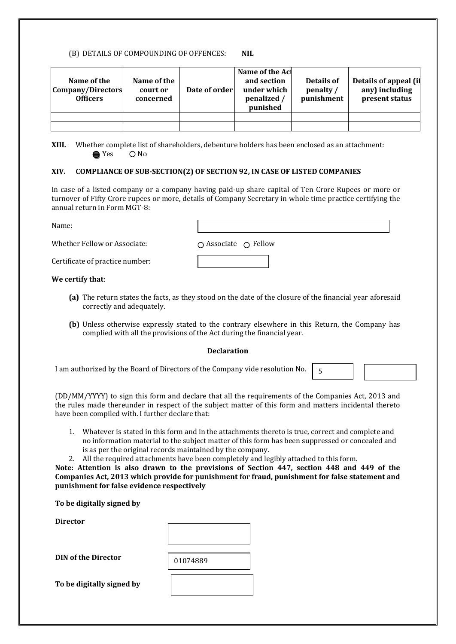#### (B) DETAILS OF COMPOUNDING OF OFFENCES: **NIL**

| Name of the<br>Company/Directors<br><b>Officers</b> | Name of the<br>court or<br>concerned | Date of order | Name of the Act<br>and section<br>under which<br>penalized /<br>punished | Details of<br>penalty /<br>punishment | Details of appeal (if<br>any) including<br>present status |
|-----------------------------------------------------|--------------------------------------|---------------|--------------------------------------------------------------------------|---------------------------------------|-----------------------------------------------------------|
|                                                     |                                      |               |                                                                          |                                       |                                                           |
|                                                     |                                      |               |                                                                          |                                       |                                                           |

**XIII.** Whether complete list of shareholders, debenture holders has been enclosed as an attachment:  $\bigcirc$  Yes  $\bigcirc$  No

#### **XIV. COMPLIANCE OF SUB-SECTION(2) OF SECTION 92, IN CASE OF LISTED COMPANIES**

In case of a listed company or a company having paid-up share capital of Ten Crore Rupees or more or turnover of Fifty Crore rupees or more, details of Company Secretary in whole time practice certifying the annual return in Form MGT-8:

| Name:                           |                                       |
|---------------------------------|---------------------------------------|
| Whether Fellow or Associate:    | $\bigcap$ Associate $\bigcirc$ Fellow |
| Certificate of practice number: |                                       |
| We certify that:                |                                       |

#### **(a)** The return states the facts, as they stood on the date of the closure of the financial year aforesaid correctly and adequately.

**(b)** Unless otherwise expressly stated to the contrary elsewhere in this Return, the Company has complied with all the provisions of the Act during the financial year.

5

#### **Declaration**

I am authorized by the Board of Directors of the Company vide resolution No.

(DD/MM/YYYY) to sign this form and declare that all the requirements of the Companies Act, 2013 and the rules made thereunder in respect of the subject matter of this form and matters incidental thereto have been compiled with. I further declare that:

- 1. Whatever is stated in this form and in the attachments thereto is true, correct and complete and no information material to the subject matter of this form has been suppressed or concealed and is as per the original records maintained by the company.
- 2. All the required attachments have been completely and legibly attached to this form.

**Note: Attention is also drawn to the provisions of Section 447, section 448 and 449 of the Companies Act, 2013 which provide for punishment for fraud, punishment for false statement and punishment for false evidence respectively**

| $110001$ internation to those within to the provisions of section 117, seed.<br>Companies Act, 2013 which provide for punishment for fraud, punishment<br>punishment for false evidence respectively |          |  |
|------------------------------------------------------------------------------------------------------------------------------------------------------------------------------------------------------|----------|--|
| To be digitally signed by                                                                                                                                                                            |          |  |
| <b>Director</b>                                                                                                                                                                                      |          |  |
|                                                                                                                                                                                                      |          |  |
| <b>DIN of the Director</b>                                                                                                                                                                           | 01074889 |  |
| To he digitally signed hy                                                                                                                                                                            |          |  |

**To be digitally signed by**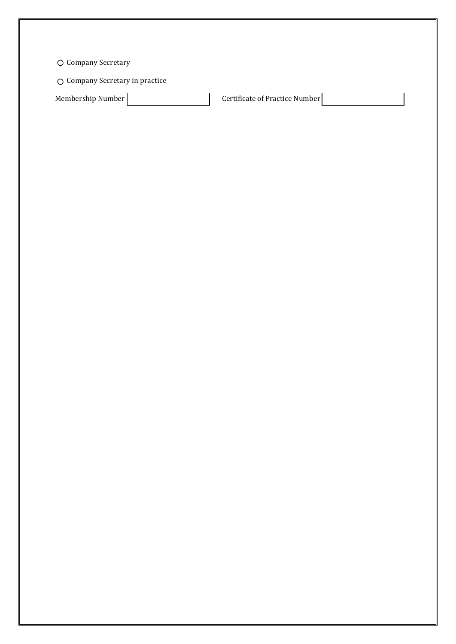Company Secretary

Company Secretary in practice

Membership Number **Certificate of Practice Number**